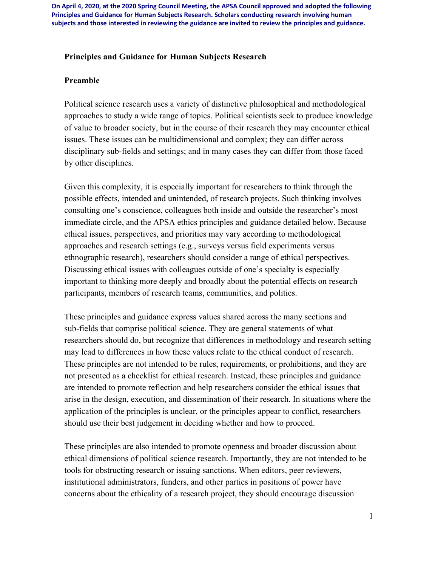#### **Principles and Guidance for Human Subjects Research**

#### **Preamble**

Political science research uses a variety of distinctive philosophical and methodological approaches to study a wide range of topics. Political scientists seek to produce knowledge of value to broader society, but in the course of their research they may encounter ethical issues. These issues can be multidimensional and complex; they can differ across disciplinary sub-fields and settings; and in many cases they can differ from those faced by other disciplines.

Given this complexity, it is especially important for researchers to think through the possible effects, intended and unintended, of research projects. Such thinking involves consulting one's conscience, colleagues both inside and outside the researcher's most immediate circle, and the APSA ethics principles and guidance detailed below. Because ethical issues, perspectives, and priorities may vary according to methodological approaches and research settings (e.g., surveys versus field experiments versus ethnographic research), researchers should consider a range of ethical perspectives. Discussing ethical issues with colleagues outside of one's specialty is especially important to thinking more deeply and broadly about the potential effects on research participants, members of research teams, communities, and polities.

These principles and guidance express values shared across the many sections and sub-fields that comprise political science. They are general statements of what researchers should do, but recognize that differences in methodology and research setting may lead to differences in how these values relate to the ethical conduct of research. These principles are not intended to be rules, requirements, or prohibitions, and they are not presented as a checklist for ethical research. Instead, these principles and guidance are intended to promote reflection and help researchers consider the ethical issues that arise in the design, execution, and dissemination of their research. In situations where the application of the principles is unclear, or the principles appear to conflict, researchers should use their best judgement in deciding whether and how to proceed.

These principles are also intended to promote openness and broader discussion about ethical dimensions of political science research. Importantly, they are not intended to be tools for obstructing research or issuing sanctions. When editors, peer reviewers, institutional administrators, funders, and other parties in positions of power have concerns about the ethicality of a research project, they should encourage discussion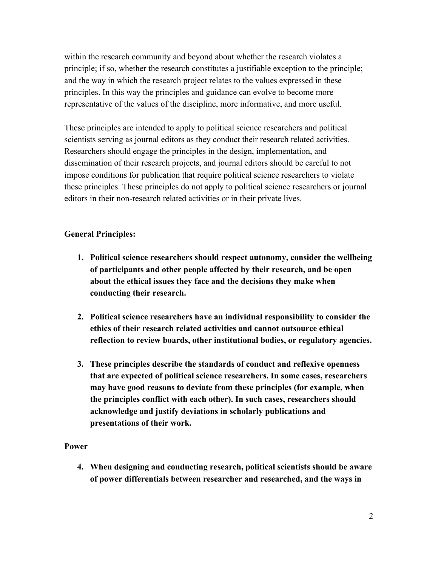within the research community and beyond about whether the research violates a principle; if so, whether the research constitutes a justifiable exception to the principle; and the way in which the research project relates to the values expressed in these principles. In this way the principles and guidance can evolve to become more representative of the values of the discipline, more informative, and more useful.

These principles are intended to apply to political science researchers and political scientists serving as journal editors as they conduct their research related activities. Researchers should engage the principles in the design, implementation, and dissemination of their research projects, and journal editors should be careful to not impose conditions for publication that require political science researchers to violate these principles. These principles do not apply to political science researchers or journal editors in their non-research related activities or in their private lives.

# **General Principles:**

- **1. Political science researchers should respect autonomy, consider the wellbeing of participants and other people affected by their research, and be open about the ethical issues they face and the decisions they make when conducting their research.**
- **2. Political science researchers have an individual responsibility to consider the ethics of their research related activities and cannot outsource ethical reflection to review boards, other institutional bodies, or regulatory agencies.**
- **3. These principles describe the standards of conduct and reflexive openness that are expected of political science researchers. In some cases, researchers may have good reasons to deviate from these principles (for example, when the principles conflict with each other). In such cases, researchers should acknowledge and justify deviations in scholarly publications and presentations of their work.**

### **Power**

**4. When designing and conducting research, political scientists should be aware of power differentials between researcher and researched, and the ways in**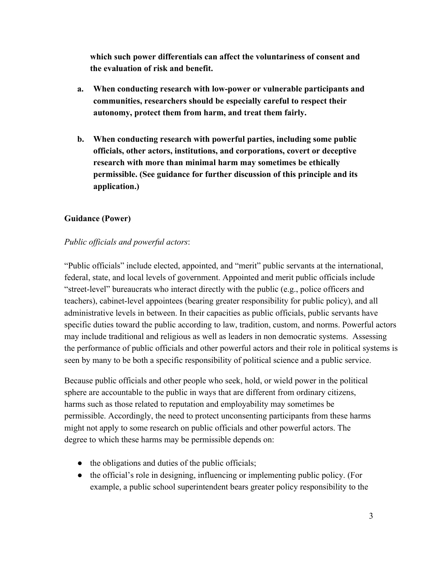**which such power differentials can affect the voluntariness of consent and the evaluation of risk and benefit.**

- **a. When conducting research with low-power or vulnerable participants and communities, researchers should be especially careful to respect their autonomy, protect them from harm, and treat them fairly.**
- **b. When conducting research with powerful parties, including some public officials, other actors, institutions, and corporations, covert or deceptive research with more than minimal harm may sometimes be ethically permissible. (See guidance for further discussion of this principle and its application.)**

# **Guidance (Power)**

## *Public officials and powerful actors*:

"Public officials" include elected, appointed, and "merit" public servants at the international, federal, state, and local levels of government. Appointed and merit public officials include "street-level" bureaucrats who interact directly with the public (e.g., police officers and teachers), cabinet-level appointees (bearing greater responsibility for public policy), and all administrative levels in between. In their capacities as public officials, public servants have specific duties toward the public according to law, tradition, custom, and norms. Powerful actors may include traditional and religious as well as leaders in non democratic systems. Assessing the performance of public officials and other powerful actors and their role in political systems is seen by many to be both a specific responsibility of political science and a public service.

Because public officials and other people who seek, hold, or wield power in the political sphere are accountable to the public in ways that are different from ordinary citizens, harms such as those related to reputation and employability may sometimes be permissible. Accordingly, the need to protect unconsenting participants from these harms might not apply to some research on public officials and other powerful actors. The degree to which these harms may be permissible depends on:

- the obligations and duties of the public officials;
- the official's role in designing, influencing or implementing public policy. (For example, a public school superintendent bears greater policy responsibility to the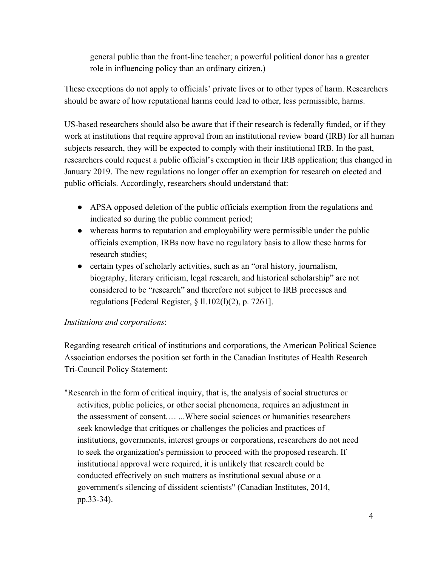general public than the front-line teacher; a powerful political donor has a greater role in influencing policy than an ordinary citizen.)

These exceptions do not apply to officials' private lives or to other types of harm. Researchers should be aware of how reputational harms could lead to other, less permissible, harms.

US-based researchers should also be aware that if their research is federally funded, or if they work at institutions that require approval from an institutional review board (IRB) for all human subjects research, they will be expected to comply with their institutional IRB. In the past, researchers could request a public official's exemption in their IRB application; this changed in January 2019. The new regulations no longer offer an exemption for research on elected and public officials. Accordingly, researchers should understand that:

- APSA opposed deletion of the public officials exemption from the regulations and indicated so during the public comment period;
- whereas harms to reputation and employability were permissible under the public officials exemption, IRBs now have no regulatory basis to allow these harms for research studies;
- certain types of scholarly activities, such as an "oral history, journalism, biography, literary criticism, legal research, and historical scholarship" are not considered to be "research" and therefore not subject to IRB processes and regulations [Federal Register,  $\S$  11.102(1)(2), p. 7261].

### *Institutions and corporations*:

Regarding research critical of institutions and corporations, the American Political Science Association endorses the position set forth in the Canadian Institutes of Health Research Tri-Council Policy Statement:

"Research in the form of critical inquiry, that is, the analysis of social structures or activities, public policies, or other social phenomena, requires an adjustment in the assessment of consent.… ...Where social sciences or humanities researchers seek knowledge that critiques or challenges the policies and practices of institutions, governments, interest groups or corporations, researchers do not need to seek the organization's permission to proceed with the proposed research. If institutional approval were required, it is unlikely that research could be conducted effectively on such matters as institutional sexual abuse or a government's silencing of dissident scientists" (Canadian Institutes, 2014, pp.33-34).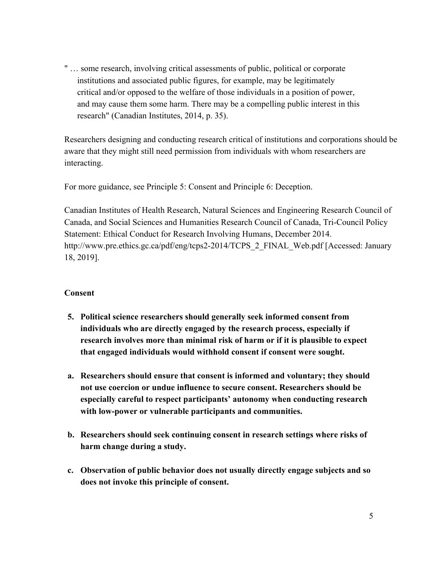" … some research, involving critical assessments of public, political or corporate institutions and associated public figures, for example, may be legitimately critical and/or opposed to the welfare of those individuals in a position of power, and may cause them some harm. There may be a compelling public interest in this research" (Canadian Institutes, 2014, p. 35).

Researchers designing and conducting research critical of institutions and corporations should be aware that they might still need permission from individuals with whom researchers are interacting.

For more guidance, see Principle 5: Consent and Principle 6: Deception.

Canadian Institutes of Health Research, Natural Sciences and Engineering Research Council of Canada, and Social Sciences and Humanities Research Council of Canada, Tri-Council Policy Statement: Ethical Conduct for Research Involving Humans, December 2014. [http://www.pre.ethics.gc.ca/pdf/eng/tcps2-2014/TCPS\\_2\\_FINAL\\_Web.pdf](http://www.pre.ethics.gc.ca/pdf/eng/tcps2-2014/TCPS_2_FINAL_Web.pdf) [Accessed: January 18, 2019].

#### **Consent**

- **5. Political science researchers should generally seek informed consent from individuals who are directly engaged by the research process, especially if research involves more than minimal risk of harm or if it is plausible to expect that engaged individuals would withhold consent if consent were sought.**
- **a. Researchers should ensure that consent is informed and voluntary; they should not use coercion or undue influence to secure consent. Researchers should be especially careful to respect participants' autonomy when conducting research with low-power or vulnerable participants and communities.**
- **b. Researchers should seek continuing consent in research settings where risks of harm change during a study.**
- **c. Observation of public behavior does not usually directly engage subjects and so does not invoke this principle of consent.**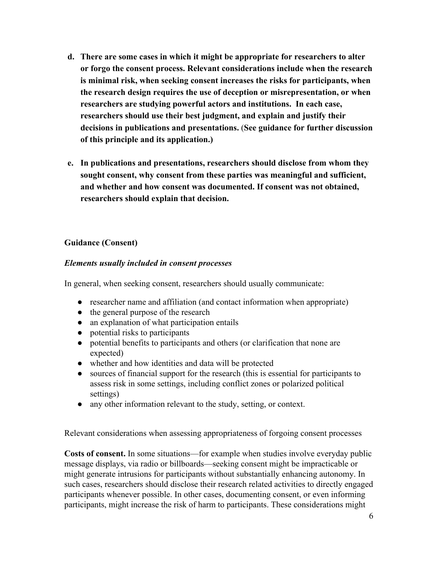- **d. There are some cases in which it might be appropriate for researchers to alter or forgo the consent process. Relevant considerations include when the research is minimal risk, when seeking consent increases the risks for participants, when the research design requires the use of deception or misrepresentation, or when researchers are studying powerful actors and institutions. In each case, researchers should use their best judgment, and explain and justify their decisions in publications and presentations.** (**See guidance for further discussion of this principle and its application.)**
- **e. In publications and presentations, researchers should disclose from whom they sought consent, why consent from these parties was meaningful and sufficient, and whether and how consent was documented. If consent was not obtained, researchers should explain that decision.**

## **Guidance (Consent)**

### *Elements usually included in consent processes*

In general, when seeking consent, researchers should usually communicate:

- researcher name and affiliation (and contact information when appropriate)
- the general purpose of the research
- an explanation of what participation entails
- potential risks to participants
- potential benefits to participants and others (or clarification that none are expected)
- whether and how identities and data will be protected
- sources of financial support for the research (this is essential for participants to assess risk in some settings, including conflict zones or polarized political settings)
- any other information relevant to the study, setting, or context.

Relevant considerations when assessing appropriateness of forgoing consent processes

**Costs of consent.** In some situations—for example when studies involve everyday public message displays, via radio or billboards—seeking consent might be impracticable or might generate intrusions for participants without substantially enhancing autonomy. In such cases, researchers should disclose their research related activities to directly engaged participants whenever possible. In other cases, documenting consent, or even informing participants, might increase the risk of harm to participants. These considerations might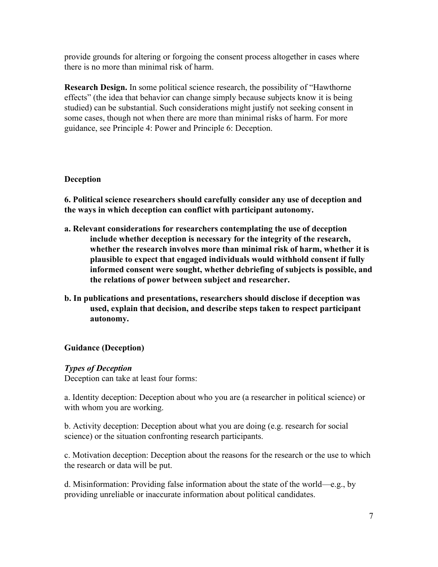provide grounds for altering or forgoing the consent process altogether in cases where there is no more than minimal risk of harm.

**Research Design.** In some political science research, the possibility of "Hawthorne effects" (the idea that behavior can change simply because subjects know it is being studied) can be substantial. Such considerations might justify not seeking consent in some cases, though not when there are more than minimal risks of harm. For more guidance, see Principle 4: Power and Principle 6: Deception.

## **Deception**

**6. Political science researchers should carefully consider any use of deception and the ways in which deception can conflict with participant autonomy.**

- **a. Relevant considerations for researchers contemplating the use of deception include whether deception is necessary for the integrity of the research, whether the research involves more than minimal risk of harm, whether it is plausible to expect that engaged individuals would withhold consent if fully informed consent were sought, whether debriefing of subjects is possible, and the relations of power between subject and researcher.**
- **b. In publications and presentations, researchers should disclose if deception was used, explain that decision, and describe steps taken to respect participant autonomy.**

### **Guidance (Deception)**

### *Types of Deception*

Deception can take at least four forms:

a. Identity deception: Deception about who you are (a researcher in political science) or with whom you are working.

b. Activity deception: Deception about what you are doing (e.g. research for social science) or the situation confronting research participants.

c. Motivation deception: Deception about the reasons for the research or the use to which the research or data will be put.

d. Misinformation: Providing false information about the state of the world—e.g., by providing unreliable or inaccurate information about political candidates.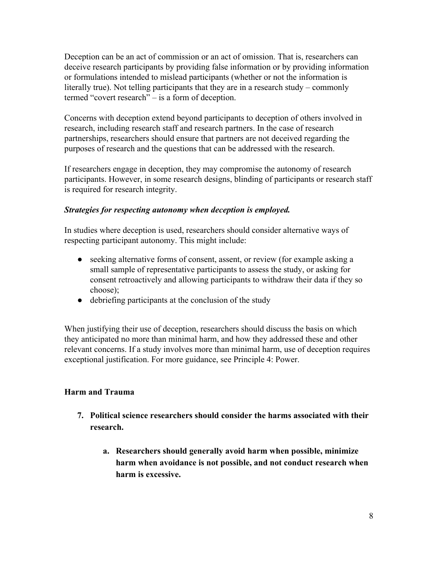Deception can be an act of commission or an act of omission. That is, researchers can deceive research participants by providing false information or by providing information or formulations intended to mislead participants (whether or not the information is literally true). Not telling participants that they are in a research study – commonly termed "covert research" – is a form of deception.

Concerns with deception extend beyond participants to deception of others involved in research, including research staff and research partners. In the case of research partnerships, researchers should ensure that partners are not deceived regarding the purposes of research and the questions that can be addressed with the research.

If researchers engage in deception, they may compromise the autonomy of research participants. However, in some research designs, blinding of participants or research staff is required for research integrity.

## *Strategies for respecting autonomy when deception is employed.*

In studies where deception is used, researchers should consider alternative ways of respecting participant autonomy. This might include:

- seeking alternative forms of consent, assent, or review (for example asking a small sample of representative participants to assess the study, or asking for consent retroactively and allowing participants to withdraw their data if they so choose);
- debriefing participants at the conclusion of the study

When justifying their use of deception, researchers should discuss the basis on which they anticipated no more than minimal harm, and how they addressed these and other relevant concerns. If a study involves more than minimal harm, use of deception requires exceptional justification. For more guidance, see Principle 4: Power.

### **Harm and Trauma**

- **7. Political science researchers should consider the harms associated with their research.**
	- **a. Researchers should generally avoid harm when possible, minimize harm when avoidance is not possible, and not conduct research when harm is excessive.**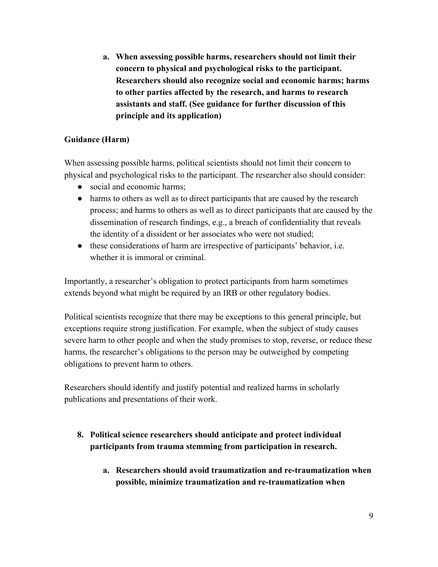**a. When assessing possible harms, researchers should not limit their concern to physical and psychological risks to the participant. Researchers should also recognize social and economic harms; harms to other parties affected by the research, and harms to research assistants and staff. (See guidance for further discussion of this principle and its application)**

## **Guidance (Harm)**

When assessing possible harms, political scientists should not limit their concern to physical and psychological risks to the participant. The researcher also should consider:

- social and economic harms:
- harms to others as well as to direct participants that are caused by the research process; and harms to others as well as to direct participants that are caused by the dissemination of research findings, e.g., a breach of confidentiality that reveals the identity of a dissident or her associates who were not studied;
- these considerations of harm are irrespective of participants' behavior, i.e. whether it is immoral or criminal.

Importantly, a researcher's obligation to protect participants from harm sometimes extends beyond what might be required by an IRB or other regulatory bodies.

Political scientists recognize that there may be exceptions to this general principle, but exceptions require strong justification. For example, when the subject of study causes severe harm to other people and when the study promises to stop, reverse, or reduce these harms, the researcher's obligations to the person may be outweighed by competing obligations to prevent harm to others.

Researchers should identify and justify potential and realized harms in scholarly publications and presentations of their work.

- **8. Political science researchers should anticipate and protect individual participants from trauma stemming from participation in research.**
	- **a. Researchers should avoid traumatization and re-traumatization when possible, minimize traumatization and re-traumatization when**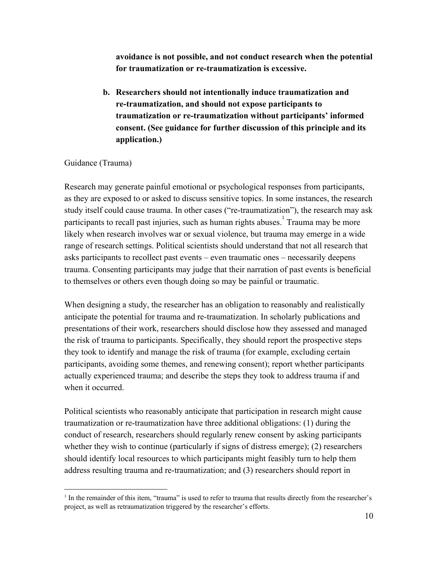**avoidance is not possible, and not conduct research when the potential for traumatization or re-traumatization is excessive.**

**b. Researchers should not intentionally induce traumatization and re-traumatization, and should not expose participants to traumatization or re-traumatization without participants' informed consent. (See guidance for further discussion of this principle and its application.)**

### Guidance (Trauma)

Research may generate painful emotional or psychological responses from participants, as they are exposed to or asked to discuss sensitive topics. In some instances, the research study itself could cause trauma. In other cases ("re-traumatization"), the research may ask participants to recall past injuries, such as human rights abuses.<sup>1</sup> Trauma may be more likely when research involves war or sexual violence, but trauma may emerge in a wide range of research settings. Political scientists should understand that not all research that asks participants to recollect past events – even traumatic ones – necessarily deepens trauma. Consenting participants may judge that their narration of past events is beneficial to themselves or others even though doing so may be painful or traumatic.

When designing a study, the researcher has an obligation to reasonably and realistically anticipate the potential for trauma and re-traumatization. In scholarly publications and presentations of their work, researchers should disclose how they assessed and managed the risk of trauma to participants. Specifically, they should report the prospective steps they took to identify and manage the risk of trauma (for example, excluding certain participants, avoiding some themes, and renewing consent); report whether participants actually experienced trauma; and describe the steps they took to address trauma if and when it occurred.

Political scientists who reasonably anticipate that participation in research might cause traumatization or re-traumatization have three additional obligations: (1) during the conduct of research, researchers should regularly renew consent by asking participants whether they wish to continue (particularly if signs of distress emerge); (2) researchers should identify local resources to which participants might feasibly turn to help them address resulting trauma and re-traumatization; and (3) researchers should report in

<sup>1</sup> In the remainder of this item, "trauma" is used to refer to trauma that results directly from the researcher's project, as well as retraumatization triggered by the researcher's efforts.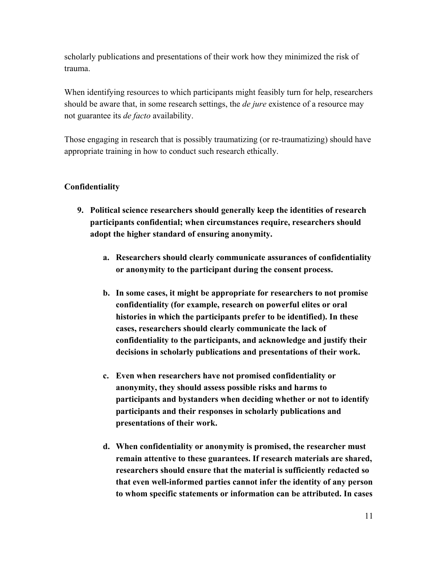scholarly publications and presentations of their work how they minimized the risk of trauma.

When identifying resources to which participants might feasibly turn for help, researchers should be aware that, in some research settings, the *de jure* existence of a resource may not guarantee its *de facto* availability.

Those engaging in research that is possibly traumatizing (or re-traumatizing) should have appropriate training in how to conduct such research ethically.

### **Confidentiality**

- **9. Political science researchers should generally keep the identities of research participants confidential; when circumstances require, researchers should adopt the higher standard of ensuring anonymity.**
	- **a. Researchers should clearly communicate assurances of confidentiality or anonymity to the participant during the consent process.**
	- **b. In some cases, it might be appropriate for researchers to not promise confidentiality (for example, research on powerful elites or oral histories in which the participants prefer to be identified). In these cases, researchers should clearly communicate the lack of confidentiality to the participants, and acknowledge and justify their decisions in scholarly publications and presentations of their work.**
	- **c. Even when researchers have not promised confidentiality or anonymity, they should assess possible risks and harms to participants and bystanders when deciding whether or not to identify participants and their responses in scholarly publications and presentations of their work.**
	- **d. When confidentiality or anonymity is promised, the researcher must remain attentive to these guarantees. If research materials are shared, researchers should ensure that the material is sufficiently redacted so that even well-informed parties cannot infer the identity of any person to whom specific statements or information can be attributed. In cases**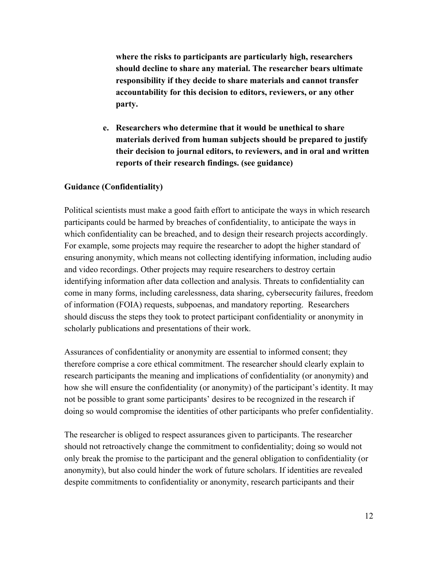**where the risks to participants are particularly high, researchers should decline to share any material. The researcher bears ultimate responsibility if they decide to share materials and cannot transfer accountability for this decision to editors, reviewers, or any other party.**

**e. Researchers who determine that it would be unethical to share materials derived from human subjects should be prepared to justify their decision to journal editors, to reviewers, and in oral and written reports of their research findings. (see guidance)**

### **Guidance (Confidentiality)**

Political scientists must make a good faith effort to anticipate the ways in which research participants could be harmed by breaches of confidentiality, to anticipate the ways in which confidentiality can be breached, and to design their research projects accordingly. For example, some projects may require the researcher to adopt the higher standard of ensuring anonymity, which means not collecting identifying information, including audio and video recordings. Other projects may require researchers to destroy certain identifying information after data collection and analysis. Threats to confidentiality can come in many forms, including carelessness, data sharing, cybersecurity failures, freedom of information (FOIA) requests, subpoenas, and mandatory reporting. Researchers should discuss the steps they took to protect participant confidentiality or anonymity in scholarly publications and presentations of their work.

Assurances of confidentiality or anonymity are essential to informed consent; they therefore comprise a core ethical commitment. The researcher should clearly explain to research participants the meaning and implications of confidentiality (or anonymity) and how she will ensure the confidentiality (or anonymity) of the participant's identity. It may not be possible to grant some participants' desires to be recognized in the research if doing so would compromise the identities of other participants who prefer confidentiality.

The researcher is obliged to respect assurances given to participants. The researcher should not retroactively change the commitment to confidentiality; doing so would not only break the promise to the participant and the general obligation to confidentiality (or anonymity), but also could hinder the work of future scholars. If identities are revealed despite commitments to confidentiality or anonymity, research participants and their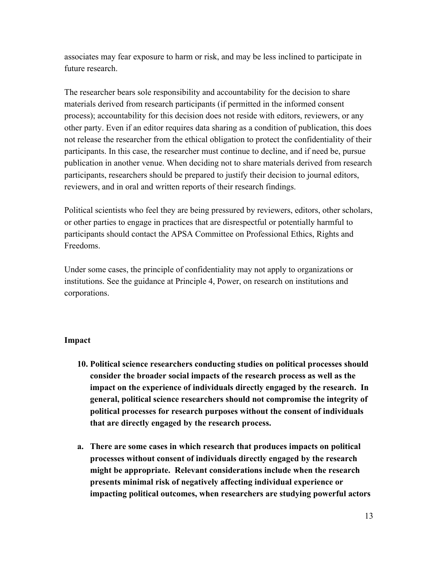associates may fear exposure to harm or risk, and may be less inclined to participate in future research.

The researcher bears sole responsibility and accountability for the decision to share materials derived from research participants (if permitted in the informed consent process); accountability for this decision does not reside with editors, reviewers, or any other party. Even if an editor requires data sharing as a condition of publication, this does not release the researcher from the ethical obligation to protect the confidentiality of their participants. In this case, the researcher must continue to decline, and if need be, pursue publication in another venue. When deciding not to share materials derived from research participants, researchers should be prepared to justify their decision to journal editors, reviewers, and in oral and written reports of their research findings.

Political scientists who feel they are being pressured by reviewers, editors, other scholars, or other parties to engage in practices that are disrespectful or potentially harmful to participants should contact the APSA Committee on Professional Ethics, Rights and Freedoms.

Under some cases, the principle of confidentiality may not apply to organizations or institutions. See the guidance at Principle 4, Power, on research on institutions and corporations.

### **Impact**

- **10. Political science researchers conducting studies on political processes should consider the broader social impacts of the research process as well as the impact on the experience of individuals directly engaged by the research. In general, political science researchers should not compromise the integrity of political processes for research purposes without the consent of individuals that are directly engaged by the research process.**
- **a. There are some cases in which research that produces impacts on political processes without consent of individuals directly engaged by the research might be appropriate. Relevant considerations include when the research presents minimal risk of negatively affecting individual experience or impacting political outcomes, when researchers are studying powerful actors**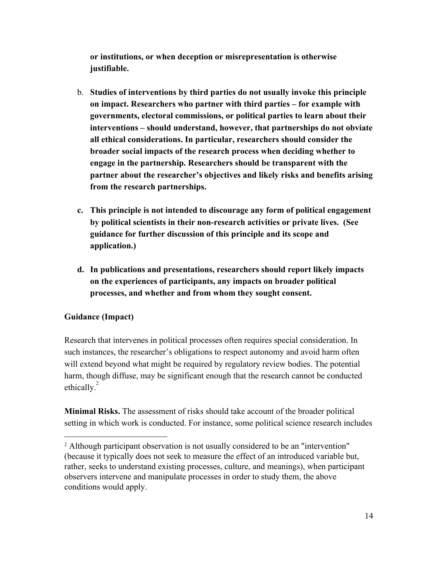**or institutions, or when deception or misrepresentation is otherwise justifiable.**

- b. **Studies of interventions by third parties do not usually invoke this principle on impact. Researchers who partner with third parties – for example with governments, electoral commissions, or political parties to learn about their interventions – should understand, however, that partnerships do not obviate all ethical considerations. In particular, researchers should consider the broader social impacts of the research process when deciding whether to engage in the partnership. Researchers should be transparent with the partner about the researcher's objectives and likely risks and benefits arising from the research partnerships.**
- **c. This principle is not intended to discourage any form of political engagement by political scientists in their non-research activities or private lives. (See guidance for further discussion of this principle and its scope and application.)**
- **d. In publications and presentations, researchers should report likely impacts on the experiences of participants, any impacts on broader political processes, and whether and from whom they sought consent.**

# **Guidance (Impact)**

Research that intervenes in political processes often requires special consideration. In such instances, the researcher's obligations to respect autonomy and avoid harm often will extend beyond what might be required by regulatory review bodies. The potential harm, though diffuse, may be significant enough that the research cannot be conducted ethically. $^{2}$ 

**Minimal Risks.** The assessment of risks should take account of the broader political setting in which work is conducted. For instance, some political science research includes

<sup>2</sup> Although participant observation is not usually considered to be an "intervention" (because it typically does not seek to measure the effect of an introduced variable but, rather, seeks to understand existing processes, culture, and meanings), when participant observers intervene and manipulate processes in order to study them, the above conditions would apply.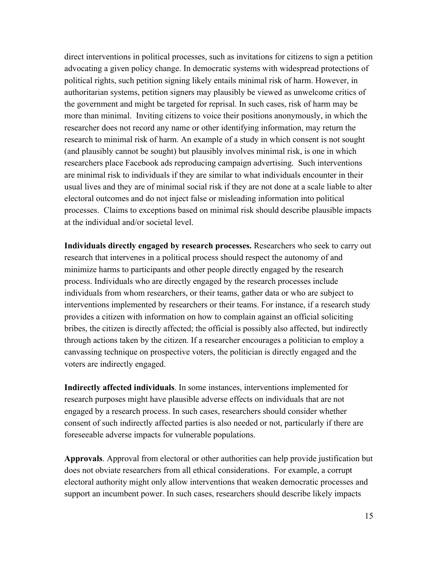direct interventions in political processes, such as invitations for citizens to sign a petition advocating a given policy change. In democratic systems with widespread protections of political rights, such petition signing likely entails minimal risk of harm. However, in authoritarian systems, petition signers may plausibly be viewed as unwelcome critics of the government and might be targeted for reprisal. In such cases, risk of harm may be more than minimal. Inviting citizens to voice their positions anonymously, in which the researcher does not record any name or other identifying information, may return the research to minimal risk of harm. An example of a study in which consent is not sought (and plausibly cannot be sought) but plausibly involves minimal risk, is one in which researchers place Facebook ads reproducing campaign advertising. Such interventions are minimal risk to individuals if they are similar to what individuals encounter in their usual lives and they are of minimal social risk if they are not done at a scale liable to alter electoral outcomes and do not inject false or misleading information into political processes. Claims to exceptions based on minimal risk should describe plausible impacts at the individual and/or societal level.

**Individuals directly engaged by research processes.** Researchers who seek to carry out research that intervenes in a political process should respect the autonomy of and minimize harms to participants and other people directly engaged by the research process. Individuals who are directly engaged by the research processes include individuals from whom researchers, or their teams, gather data or who are subject to interventions implemented by researchers or their teams. For instance, if a research study provides a citizen with information on how to complain against an official soliciting bribes, the citizen is directly affected; the official is possibly also affected, but indirectly through actions taken by the citizen. If a researcher encourages a politician to employ a canvassing technique on prospective voters, the politician is directly engaged and the voters are indirectly engaged.

**Indirectly affected individuals**. In some instances, interventions implemented for research purposes might have plausible adverse effects on individuals that are not engaged by a research process. In such cases, researchers should consider whether consent of such indirectly affected parties is also needed or not, particularly if there are foreseeable adverse impacts for vulnerable populations.

**Approvals**. Approval from electoral or other authorities can help provide justification but does not obviate researchers from all ethical considerations. For example, a corrupt electoral authority might only allow interventions that weaken democratic processes and support an incumbent power. In such cases, researchers should describe likely impacts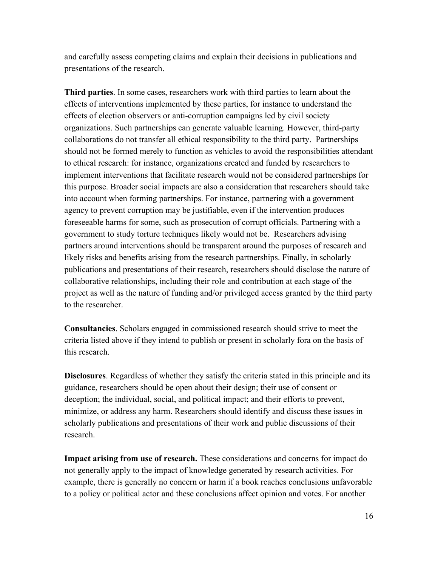and carefully assess competing claims and explain their decisions in publications and presentations of the research.

**Third parties**. In some cases, researchers work with third parties to learn about the effects of interventions implemented by these parties, for instance to understand the effects of election observers or anti-corruption campaigns led by civil society organizations. Such partnerships can generate valuable learning. However, third-party collaborations do not transfer all ethical responsibility to the third party. Partnerships should not be formed merely to function as vehicles to avoid the responsibilities attendant to ethical research: for instance, organizations created and funded by researchers to implement interventions that facilitate research would not be considered partnerships for this purpose. Broader social impacts are also a consideration that researchers should take into account when forming partnerships. For instance, partnering with a government agency to prevent corruption may be justifiable, even if the intervention produces foreseeable harms for some, such as prosecution of corrupt officials. Partnering with a government to study torture techniques likely would not be. Researchers advising partners around interventions should be transparent around the purposes of research and likely risks and benefits arising from the research partnerships. Finally, in scholarly publications and presentations of their research, researchers should disclose the nature of collaborative relationships, including their role and contribution at each stage of the project as well as the nature of funding and/or privileged access granted by the third party to the researcher.

**Consultancies**. Scholars engaged in commissioned research should strive to meet the criteria listed above if they intend to publish or present in scholarly fora on the basis of this research.

**Disclosures**. Regardless of whether they satisfy the criteria stated in this principle and its guidance, researchers should be open about their design; their use of consent or deception; the individual, social, and political impact; and their efforts to prevent, minimize, or address any harm. Researchers should identify and discuss these issues in scholarly publications and presentations of their work and public discussions of their research.

**Impact arising from use of research.** These considerations and concerns for impact do not generally apply to the impact of knowledge generated by research activities. For example, there is generally no concern or harm if a book reaches conclusions unfavorable to a policy or political actor and these conclusions affect opinion and votes. For another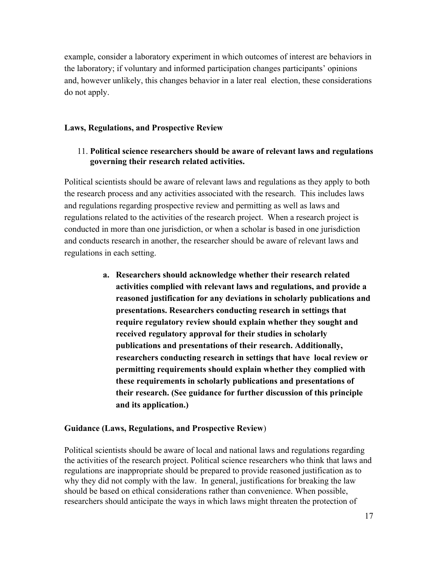example, consider a laboratory experiment in which outcomes of interest are behaviors in the laboratory; if voluntary and informed participation changes participants' opinions and, however unlikely, this changes behavior in a later real election, these considerations do not apply.

#### **Laws, Regulations, and Prospective Review**

#### 11. **Political science researchers should be aware of relevant laws and regulations governing their research related activities.**

Political scientists should be aware of relevant laws and regulations as they apply to both the research process and any activities associated with the research. This includes laws and regulations regarding prospective review and permitting as well as laws and regulations related to the activities of the research project. When a research project is conducted in more than one jurisdiction, or when a scholar is based in one jurisdiction and conducts research in another, the researcher should be aware of relevant laws and regulations in each setting.

> **a. Researchers should acknowledge whether their research related activities complied with relevant laws and regulations, and provide a reasoned justification for any deviations in scholarly publications and presentations. Researchers conducting research in settings that require regulatory review should explain whether they sought and received regulatory approval for their studies in scholarly publications and presentations of their research. Additionally, researchers conducting research in settings that have local review or permitting requirements should explain whether they complied with these requirements in scholarly publications and presentations of their research. (See guidance for further discussion of this principle and its application.)**

#### **Guidance (Laws, Regulations, and Prospective Review**)

Political scientists should be aware of local and national laws and regulations regarding the activities of the research project. Political science researchers who think that laws and regulations are inappropriate should be prepared to provide reasoned justification as to why they did not comply with the law. In general, justifications for breaking the law should be based on ethical considerations rather than convenience. When possible, researchers should anticipate the ways in which laws might threaten the protection of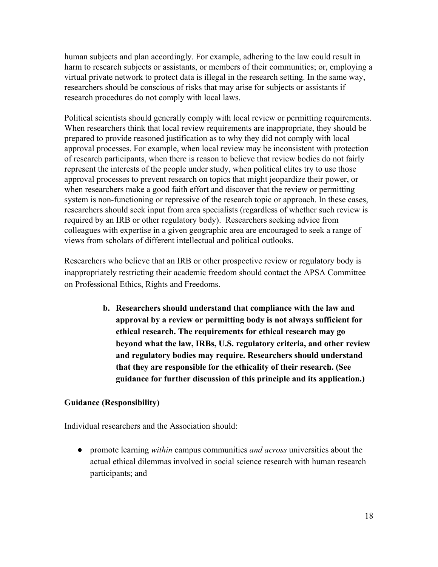human subjects and plan accordingly. For example, adhering to the law could result in harm to research subjects or assistants, or members of their communities; or, employing a virtual private network to protect data is illegal in the research setting. In the same way, researchers should be conscious of risks that may arise for subjects or assistants if research procedures do not comply with local laws.

Political scientists should generally comply with local review or permitting requirements. When researchers think that local review requirements are inappropriate, they should be prepared to provide reasoned justification as to why they did not comply with local approval processes. For example, when local review may be inconsistent with protection of research participants, when there is reason to believe that review bodies do not fairly represent the interests of the people under study, when political elites try to use those approval processes to prevent research on topics that might jeopardize their power, or when researchers make a good faith effort and discover that the review or permitting system is non-functioning or repressive of the research topic or approach. In these cases, researchers should seek input from area specialists (regardless of whether such review is required by an IRB or other regulatory body). Researchers seeking advice from colleagues with expertise in a given geographic area are encouraged to seek a range of views from scholars of different intellectual and political outlooks.

Researchers who believe that an IRB or other prospective review or regulatory body is inappropriately restricting their academic freedom should contact the APSA Committee on Professional Ethics, Rights and Freedoms.

> **b. Researchers should understand that compliance with the law and approval by a review or permitting body is not always sufficient for ethical research. The requirements for ethical research may go beyond what the law, IRBs, U.S. regulatory criteria, and other review and regulatory bodies may require. Researchers should understand that they are responsible for the ethicality of their research. (See guidance for further discussion of this principle and its application.)**

### **Guidance (Responsibility)**

Individual researchers and the Association should:

● promote learning *within* campus communities *and across* universities about the actual ethical dilemmas involved in social science research with human research participants; and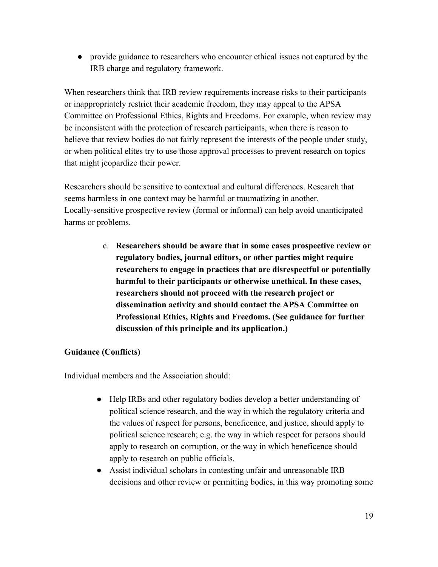● provide guidance to researchers who encounter ethical issues not captured by the IRB charge and regulatory framework.

When researchers think that IRB review requirements increase risks to their participants or inappropriately restrict their academic freedom, they may appeal to the APSA Committee on Professional Ethics, Rights and Freedoms. For example, when review may be inconsistent with the protection of research participants, when there is reason to believe that review bodies do not fairly represent the interests of the people under study, or when political elites try to use those approval processes to prevent research on topics that might jeopardize their power.

Researchers should be sensitive to contextual and cultural differences. Research that seems harmless in one context may be harmful or traumatizing in another. Locally-sensitive prospective review (formal or informal) can help avoid unanticipated harms or problems.

> c. **Researchers should be aware that in some cases prospective review or regulatory bodies, journal editors, or other parties might require researchers to engage in practices that are disrespectful or potentially harmful to their participants or otherwise unethical. In these cases, researchers should not proceed with the research project or dissemination activity and should contact the APSA Committee on Professional Ethics, Rights and Freedoms. (See guidance for further discussion of this principle and its application.)**

# **Guidance (Conflicts)**

Individual members and the Association should:

- Help IRBs and other regulatory bodies develop a better understanding of political science research, and the way in which the regulatory criteria and the values of respect for persons, beneficence, and justice, should apply to political science research; e.g. the way in which respect for persons should apply to research on corruption, or the way in which beneficence should apply to research on public officials.
- Assist individual scholars in contesting unfair and unreasonable IRB decisions and other review or permitting bodies, in this way promoting some